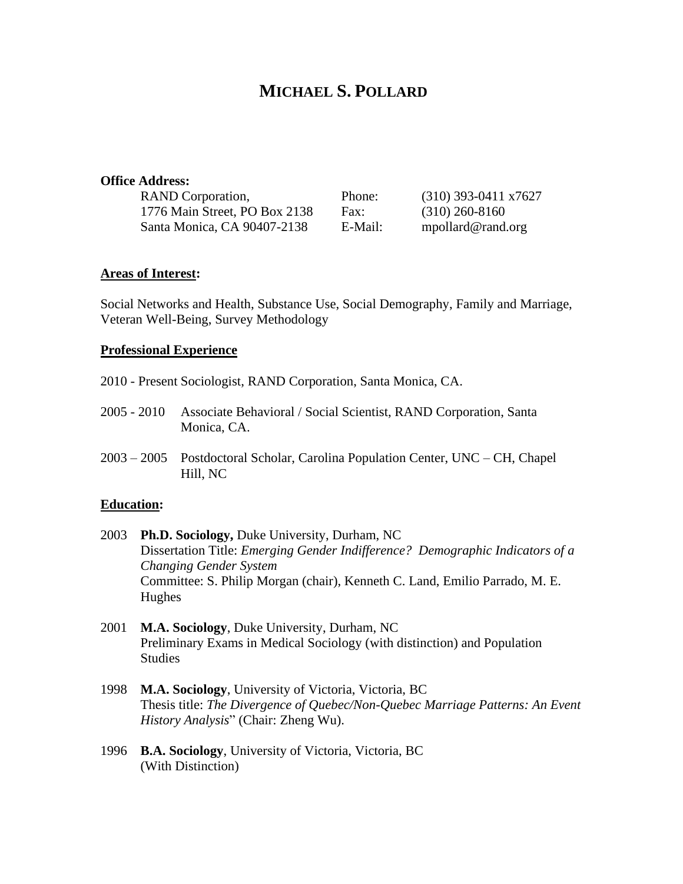# **MICHAEL S. POLLARD**

#### **Office Address:**

| <b>RAND</b> Corporation,      | Phone:  | $(310)$ 393-0411 x7627 |
|-------------------------------|---------|------------------------|
| 1776 Main Street, PO Box 2138 | Fax:    | $(310)$ 260-8160       |
| Santa Monica, CA 90407-2138   | E-Mail: | mpollard@rand.org      |

#### **Areas of Interest:**

Social Networks and Health, Substance Use, Social Demography, Family and Marriage, Veteran Well-Being, Survey Methodology

#### **Professional Experience**

- 2010 Present Sociologist, RAND Corporation, Santa Monica, CA.
- 2005 2010 Associate Behavioral / Social Scientist, RAND Corporation, Santa Monica, CA.
- 2003 2005 Postdoctoral Scholar, Carolina Population Center, UNC CH, Chapel Hill, NC

#### **Education:**

- 2003 **Ph.D. Sociology,** Duke University, Durham, NC Dissertation Title: *Emerging Gender Indifference? Demographic Indicators of a Changing Gender System* Committee: S. Philip Morgan (chair), Kenneth C. Land, Emilio Parrado, M. E. Hughes
- 2001 **M.A. Sociology**, Duke University, Durham, NC Preliminary Exams in Medical Sociology (with distinction) and Population Studies
- 1998 **M.A. Sociology**, University of Victoria, Victoria, BC Thesis title: *The Divergence of Quebec/Non-Quebec Marriage Patterns: An Event History Analysis*" (Chair: Zheng Wu).
- 1996 **B.A. Sociology**, University of Victoria, Victoria, BC (With Distinction)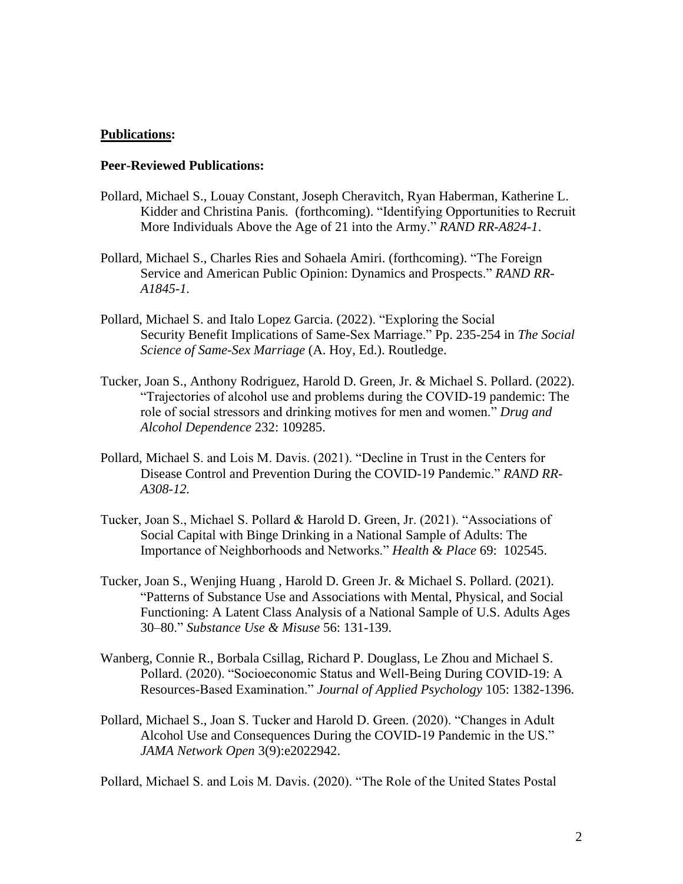#### **Publications:**

## **Peer-Reviewed Publications:**

- Pollard, Michael S., Louay Constant, Joseph Cheravitch, Ryan Haberman, Katherine L. Kidder and Christina Panis. (forthcoming). "Identifying Opportunities to Recruit More Individuals Above the Age of 21 into the Army." *RAND RR-A824-1*.
- Pollard, Michael S., Charles Ries and Sohaela Amiri. (forthcoming). "The Foreign Service and American Public Opinion: Dynamics and Prospects." *RAND RR-A1845-1.*
- Pollard, Michael S. and Italo Lopez Garcia. (2022). "Exploring the Social Security Benefit Implications of Same-Sex Marriage." Pp. 235-254 in *The Social Science of Same-Sex Marriage* (A. Hoy, Ed.). Routledge.
- Tucker, Joan S., Anthony Rodriguez, Harold D. Green, Jr. & Michael S. Pollard. (2022). "Trajectories of alcohol use and problems during the COVID-19 pandemic: The role of social stressors and drinking motives for men and women." *Drug and Alcohol Dependence* 232: 109285.
- Pollard, Michael S. and Lois M. Davis. (2021). "Decline in Trust in the Centers for Disease Control and Prevention During the COVID-19 Pandemic." *RAND RR-A308-12.*
- Tucker, Joan S., Michael S. Pollard & Harold D. Green, Jr. (2021). "Associations of Social Capital with Binge Drinking in a National Sample of Adults: The Importance of Neighborhoods and Networks." *Health & Place* 69: 102545.
- Tucker, Joan S., Wenjing Huang , Harold D. Green Jr. & Michael S. Pollard. (2021). "Patterns of Substance Use and Associations with Mental, Physical, and Social Functioning: A Latent Class Analysis of a National Sample of U.S. Adults Ages 30–80." *Substance Use & Misuse* 56: 131-139.
- Wanberg, Connie R., Borbala Csillag, Richard P. Douglass, Le Zhou and Michael S. Pollard. (2020). "Socioeconomic Status and Well-Being During COVID-19: A Resources-Based Examination." *Journal of Applied Psychology* 105: 1382-1396.
- Pollard, Michael S., Joan S. Tucker and Harold D. Green. (2020). "Changes in Adult Alcohol Use and Consequences During the COVID-19 Pandemic in the US." *JAMA Network Open* 3(9):e2022942.

Pollard, Michael S. and Lois M. Davis. (2020). "The Role of the United States Postal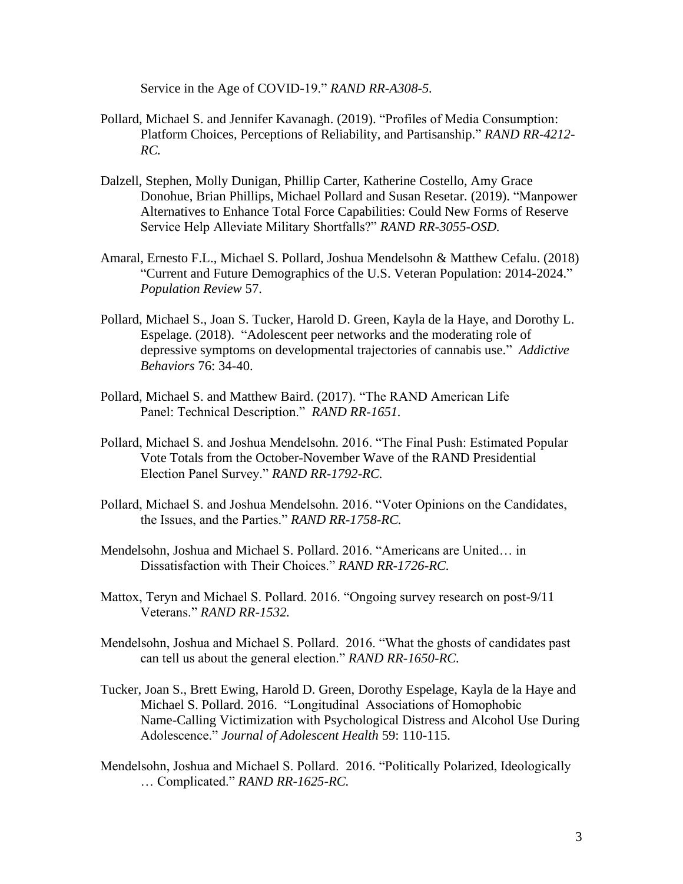Service in the Age of COVID-19." *RAND RR-A308-5.*

- Pollard, Michael S. and Jennifer Kavanagh. (2019). "Profiles of Media Consumption: Platform Choices, Perceptions of Reliability, and Partisanship." *RAND RR-4212- RC.*
- Dalzell, Stephen, Molly Dunigan, Phillip Carter, Katherine Costello, Amy Grace Donohue, Brian Phillips, Michael Pollard and Susan Resetar. (2019). "Manpower Alternatives to Enhance Total Force Capabilities: Could New Forms of Reserve Service Help Alleviate Military Shortfalls?" *RAND RR-3055-OSD.*
- Amaral, Ernesto F.L., Michael S. Pollard, Joshua Mendelsohn & Matthew Cefalu. (2018) "Current and Future Demographics of the U.S. Veteran Population: 2014-2024." *Population Review* 57.
- Pollard, Michael S., Joan S. Tucker, Harold D. Green, Kayla de la Haye, and Dorothy L. Espelage. (2018). "Adolescent peer networks and the moderating role of depressive symptoms on developmental trajectories of cannabis use." *Addictive Behaviors* 76: 34-40.
- Pollard, Michael S. and Matthew Baird. (2017). "The RAND American Life Panel: Technical Description." *RAND RR-1651.*
- Pollard, Michael S. and Joshua Mendelsohn. 2016. "The Final Push: Estimated Popular Vote Totals from the October-November Wave of the RAND Presidential Election Panel Survey." *RAND RR-1792-RC.*
- Pollard, Michael S. and Joshua Mendelsohn. 2016. "Voter Opinions on the Candidates, the Issues, and the Parties." *RAND RR-1758-RC.*
- Mendelsohn, Joshua and Michael S. Pollard. 2016. "Americans are United… in Dissatisfaction with Their Choices." *RAND RR-1726-RC.*
- Mattox, Teryn and Michael S. Pollard. 2016. "Ongoing survey research on post-9/11 Veterans." *RAND RR-1532.*
- Mendelsohn, Joshua and Michael S. Pollard. 2016. "What the ghosts of candidates past can tell us about the general election." *RAND RR-1650-RC.*
- Tucker, Joan S., Brett Ewing, Harold D. Green, Dorothy Espelage, Kayla de la Haye and Michael S. Pollard. 2016. "Longitudinal Associations of Homophobic Name-Calling Victimization with Psychological Distress and Alcohol Use During Adolescence." *Journal of Adolescent Health* 59: 110-115.
- Mendelsohn, Joshua and Michael S. Pollard. 2016. "Politically Polarized, Ideologically … Complicated." *RAND RR-1625-RC.*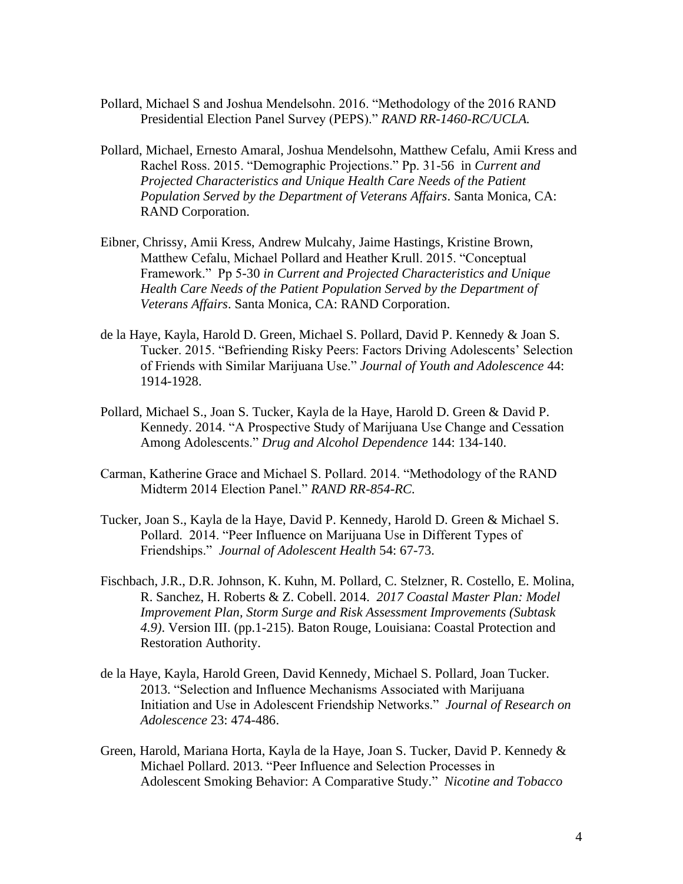- Pollard, Michael S and Joshua Mendelsohn. 2016. "Methodology of the 2016 RAND Presidential Election Panel Survey (PEPS)." *RAND RR-1460-RC/UCLA.*
- Pollard, Michael, Ernesto Amaral, Joshua Mendelsohn, Matthew Cefalu, Amii Kress and Rachel Ross. 2015. "Demographic Projections." Pp. 31-56 in *Current and Projected Characteristics and Unique Health Care Needs of the Patient Population Served by the Department of Veterans Affairs*. Santa Monica, CA: RAND Corporation.
- Eibner, Chrissy, Amii Kress, Andrew Mulcahy, Jaime Hastings, Kristine Brown, Matthew Cefalu, Michael Pollard and Heather Krull. 2015. "Conceptual Framework." Pp 5-30 *in Current and Projected Characteristics and Unique Health Care Needs of the Patient Population Served by the Department of Veterans Affairs*. Santa Monica, CA: RAND Corporation.
- de la Haye, Kayla, Harold D. Green, Michael S. Pollard, David P. Kennedy & Joan S. Tucker. 2015. "Befriending Risky Peers: Factors Driving Adolescents' Selection of Friends with Similar Marijuana Use." *Journal of Youth and Adolescence* 44: 1914-1928.
- Pollard, Michael S., Joan S. Tucker, Kayla de la Haye, Harold D. Green & David P. Kennedy. 2014. "A Prospective Study of Marijuana Use Change and Cessation Among Adolescents." *Drug and Alcohol Dependence* 144: 134-140.
- Carman, Katherine Grace and Michael S. Pollard. 2014. "Methodology of the RAND Midterm 2014 Election Panel." *RAND RR-854-RC.*
- Tucker, Joan S., Kayla de la Haye, David P. Kennedy, Harold D. Green & Michael S. Pollard. 2014. "Peer Influence on Marijuana Use in Different Types of Friendships." *Journal of Adolescent Health* 54: 67-73.
- Fischbach, J.R., D.R. Johnson, K. Kuhn, M. Pollard, C. Stelzner, R. Costello, E. Molina, R. Sanchez, H. Roberts & Z. Cobell. 2014. *2017 Coastal Master Plan: Model Improvement Plan, Storm Surge and Risk Assessment Improvements (Subtask 4.9)*. Version III. (pp.1-215). Baton Rouge, Louisiana: Coastal Protection and Restoration Authority.
- de la Haye, Kayla, Harold Green, David Kennedy, Michael S. Pollard, Joan Tucker. 2013. "Selection and Influence Mechanisms Associated with Marijuana Initiation and Use in Adolescent Friendship Networks." *Journal of Research on Adolescence* 23: 474-486.
- Green, Harold, Mariana Horta, Kayla de la Haye, Joan S. Tucker, David P. Kennedy & Michael Pollard. 2013. "Peer Influence and Selection Processes in Adolescent Smoking Behavior: A Comparative Study." *Nicotine and Tobacco*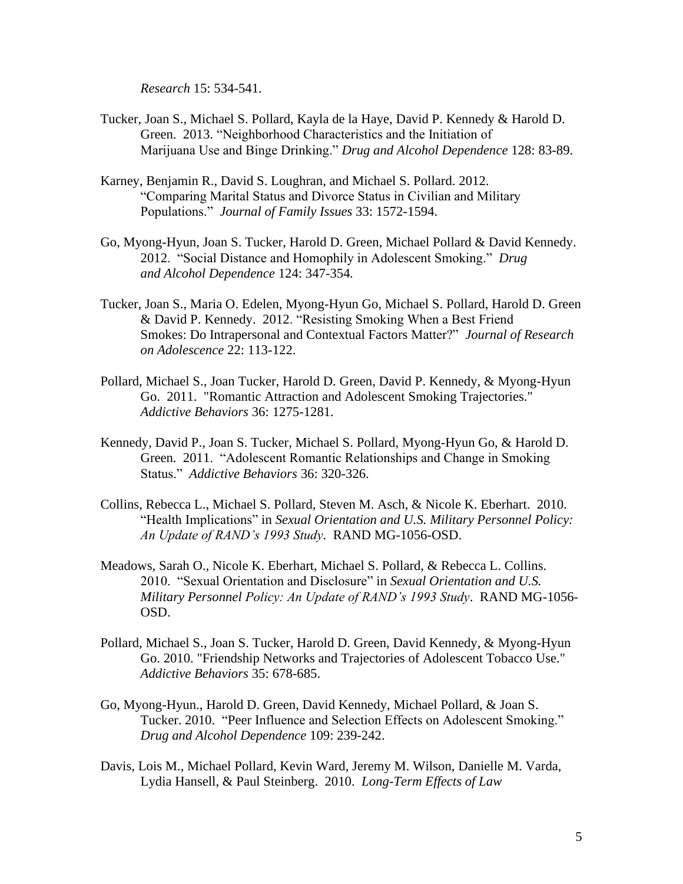*Research* 15: 534-541.

- Tucker, Joan S., Michael S. Pollard, Kayla de la Haye, David P. Kennedy & Harold D. Green. 2013. "Neighborhood Characteristics and the Initiation of Marijuana Use and Binge Drinking." *Drug and Alcohol Dependence* 128: 83-89.
- Karney, Benjamin R., David S. Loughran, and Michael S. Pollard. 2012. "Comparing Marital Status and Divorce Status in Civilian and Military Populations." *Journal of Family Issues* 33: 1572-1594.
- Go, Myong-Hyun, Joan S. Tucker, Harold D. Green, Michael Pollard & David Kennedy. 2012. "Social Distance and Homophily in Adolescent Smoking." *Drug and Alcohol Dependence* 124: 347-354*.*
- Tucker, Joan S., Maria O. Edelen, Myong-Hyun Go, Michael S. Pollard, Harold D. Green & David P. Kennedy. 2012. "Resisting Smoking When a Best Friend Smokes: Do Intrapersonal and Contextual Factors Matter?" *Journal of Research on Adolescence* 22: 113-122.
- Pollard, Michael S., Joan Tucker, Harold D. Green, David P. Kennedy, & Myong-Hyun Go. 2011. "Romantic Attraction and Adolescent Smoking Trajectories." *Addictive Behaviors* 36: 1275-1281.
- Kennedy, David P., Joan S. Tucker, Michael S. Pollard, Myong-Hyun Go, & Harold D. Green. 2011. "Adolescent Romantic Relationships and Change in Smoking Status." *Addictive Behaviors* 36: 320-326.
- Collins, Rebecca L., Michael S. Pollard, Steven M. Asch, & Nicole K. Eberhart. 2010. "Health Implications" in *Sexual Orientation and U.S. Military Personnel Policy: An Update of RAND's 1993 Study*. RAND MG-1056-OSD.
- Meadows, Sarah O., Nicole K. Eberhart, Michael S. Pollard, & Rebecca L. Collins. 2010. "Sexual Orientation and Disclosure" in *Sexual Orientation and U.S. Military Personnel Policy: An Update of RAND's 1993 Study*. RAND MG-1056- OSD.
- Pollard, Michael S., Joan S. Tucker, Harold D. Green, David Kennedy, & Myong-Hyun Go. 2010. "Friendship Networks and Trajectories of Adolescent Tobacco Use." *Addictive Behaviors* 35: 678-685.
- Go, Myong-Hyun., Harold D. Green, David Kennedy, Michael Pollard, & Joan S. Tucker. 2010. "Peer Influence and Selection Effects on Adolescent Smoking." *Drug and Alcohol Dependence* 109: 239-242.
- Davis, Lois M., Michael Pollard, Kevin Ward, Jeremy M. Wilson, Danielle M. Varda, Lydia Hansell, & Paul Steinberg. 2010. *Long-Term Effects of Law*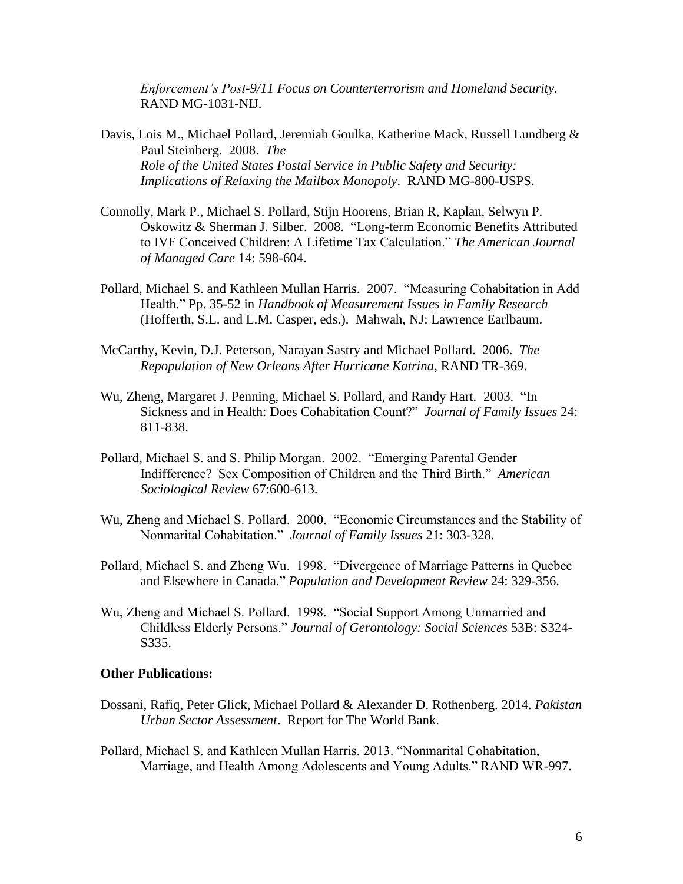*Enforcement's Post-9/11 Focus on Counterterrorism and Homeland Security.*  RAND MG-1031-NIJ.

- Davis, Lois M., Michael Pollard, Jeremiah Goulka, Katherine Mack, Russell Lundberg & Paul Steinberg. 2008. *The Role of the United States Postal Service in Public Safety and Security: Implications of Relaxing the Mailbox Monopoly*. RAND MG-800-USPS.
- Connolly, Mark P., Michael S. Pollard, Stijn Hoorens, Brian R, Kaplan, Selwyn P. Oskowitz & Sherman J. Silber. 2008. "Long-term Economic Benefits Attributed to IVF Conceived Children: A Lifetime Tax Calculation." *The American Journal of Managed Care* 14: 598-604.
- Pollard, Michael S. and Kathleen Mullan Harris. 2007. "Measuring Cohabitation in Add Health." Pp. 35-52 in *Handbook of Measurement Issues in Family Research* (Hofferth, S.L. and L.M. Casper, eds.). Mahwah, NJ: Lawrence Earlbaum.
- McCarthy, Kevin, D.J. Peterson, Narayan Sastry and Michael Pollard. 2006. *The Repopulation of New Orleans After Hurricane Katrina*, RAND TR-369.
- Wu, Zheng, Margaret J. Penning, Michael S. Pollard, and Randy Hart. 2003. "In Sickness and in Health: Does Cohabitation Count?" *Journal of Family Issues* 24: 811-838.
- Pollard, Michael S. and S. Philip Morgan. 2002. "Emerging Parental Gender Indifference? Sex Composition of Children and the Third Birth." *American Sociological Review* 67:600-613.
- Wu, Zheng and Michael S. Pollard. 2000. "Economic Circumstances and the Stability of Nonmarital Cohabitation." *Journal of Family Issues* 21: 303-328.
- Pollard, Michael S. and Zheng Wu. 1998. "Divergence of Marriage Patterns in Quebec and Elsewhere in Canada." *Population and Development Review* 24: 329-356.
- Wu, Zheng and Michael S. Pollard. 1998. "Social Support Among Unmarried and Childless Elderly Persons." *Journal of Gerontology: Social Sciences* 53B: S324- S335.

#### **Other Publications:**

- Dossani, Rafiq, Peter Glick, Michael Pollard & Alexander D. Rothenberg. 2014. *Pakistan Urban Sector Assessment*. Report for The World Bank.
- Pollard, Michael S. and Kathleen Mullan Harris. 2013. "Nonmarital Cohabitation, Marriage, and Health Among Adolescents and Young Adults." RAND WR-997.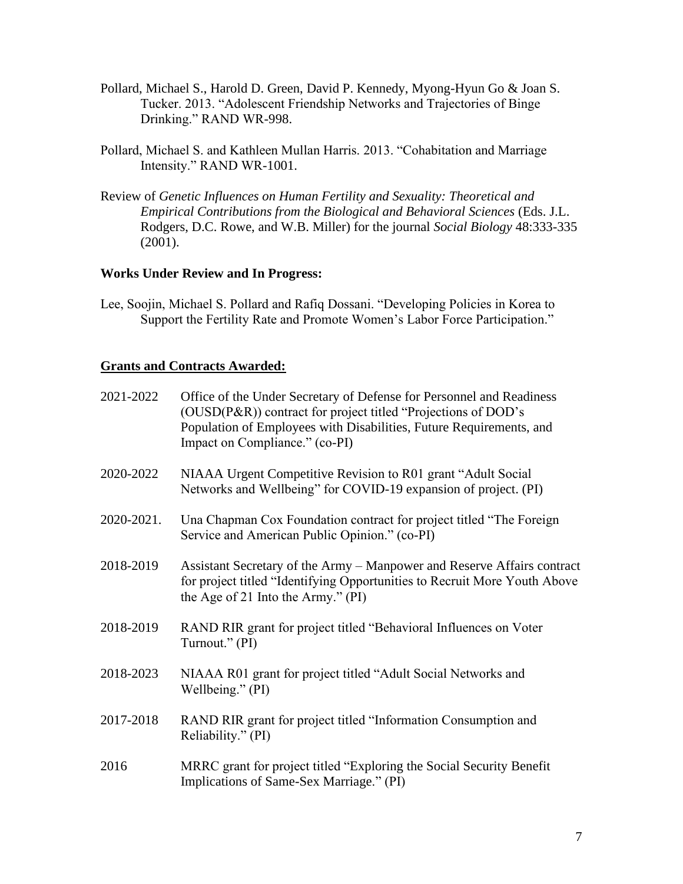- Pollard, Michael S., Harold D. Green, David P. Kennedy, Myong-Hyun Go & Joan S. Tucker. 2013. "Adolescent Friendship Networks and Trajectories of Binge Drinking." RAND WR-998.
- Pollard, Michael S. and Kathleen Mullan Harris. 2013. "Cohabitation and Marriage Intensity." RAND WR-1001.
- Review of *Genetic Influences on Human Fertility and Sexuality: Theoretical and Empirical Contributions from the Biological and Behavioral Sciences* (Eds. J.L. Rodgers, D.C. Rowe, and W.B. Miller) for the journal *Social Biology* 48:333-335 (2001).

# **Works Under Review and In Progress:**

Lee, Soojin, Michael S. Pollard and Rafiq Dossani. "Developing Policies in Korea to Support the Fertility Rate and Promote Women's Labor Force Participation."

#### **Grants and Contracts Awarded:**

| 2021-2022  | Office of the Under Secretary of Defense for Personnel and Readiness<br>(OUSD(P&R)) contract for project titled "Projections of DOD's<br>Population of Employees with Disabilities, Future Requirements, and<br>Impact on Compliance." (co-PI) |
|------------|------------------------------------------------------------------------------------------------------------------------------------------------------------------------------------------------------------------------------------------------|
| 2020-2022  | NIAAA Urgent Competitive Revision to R01 grant "Adult Social<br>Networks and Wellbeing" for COVID-19 expansion of project. (PI)                                                                                                                |
| 2020-2021. | Una Chapman Cox Foundation contract for project titled "The Foreign<br>Service and American Public Opinion." (co-PI)                                                                                                                           |
| 2018-2019  | Assistant Secretary of the Army – Manpower and Reserve Affairs contract<br>for project titled "Identifying Opportunities to Recruit More Youth Above<br>the Age of 21 Into the Army." $(PI)$                                                   |
| 2018-2019  | RAND RIR grant for project titled "Behavioral Influences on Voter<br>Turnout." (PI)                                                                                                                                                            |
| 2018-2023  | NIAAA R01 grant for project titled "Adult Social Networks and<br>Wellbeing." (PI)                                                                                                                                                              |
| 2017-2018  | RAND RIR grant for project titled "Information Consumption and<br>Reliability." (PI)                                                                                                                                                           |
| 2016       | MRRC grant for project titled "Exploring the Social Security Benefit<br>Implications of Same-Sex Marriage." (PI)                                                                                                                               |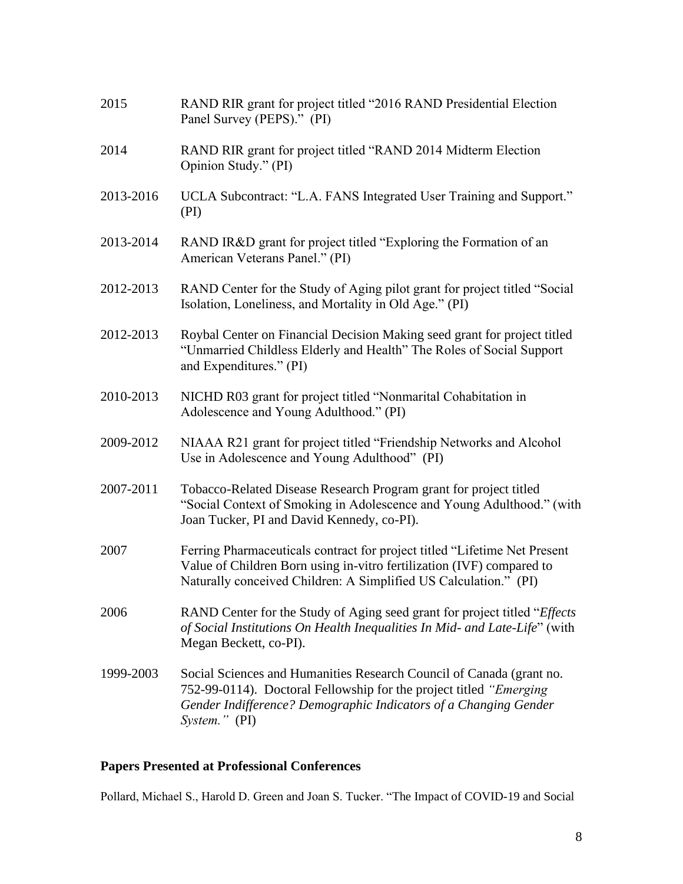| 2015      | RAND RIR grant for project titled "2016 RAND Presidential Election<br>Panel Survey (PEPS)." (PI)                                                                                                                                   |
|-----------|------------------------------------------------------------------------------------------------------------------------------------------------------------------------------------------------------------------------------------|
| 2014      | RAND RIR grant for project titled "RAND 2014 Midterm Election<br>Opinion Study." (PI)                                                                                                                                              |
| 2013-2016 | UCLA Subcontract: "L.A. FANS Integrated User Training and Support."<br>(PI)                                                                                                                                                        |
| 2013-2014 | RAND IR&D grant for project titled "Exploring the Formation of an<br>American Veterans Panel." (PI)                                                                                                                                |
| 2012-2013 | RAND Center for the Study of Aging pilot grant for project titled "Social<br>Isolation, Loneliness, and Mortality in Old Age." (PI)                                                                                                |
| 2012-2013 | Roybal Center on Financial Decision Making seed grant for project titled<br>"Unmarried Childless Elderly and Health" The Roles of Social Support<br>and Expenditures." (PI)                                                        |
| 2010-2013 | NICHD R03 grant for project titled "Nonmarital Cohabitation in<br>Adolescence and Young Adulthood." (PI)                                                                                                                           |
| 2009-2012 | NIAAA R21 grant for project titled "Friendship Networks and Alcohol<br>Use in Adolescence and Young Adulthood" (PI)                                                                                                                |
| 2007-2011 | Tobacco-Related Disease Research Program grant for project titled<br>"Social Context of Smoking in Adolescence and Young Adulthood." (with<br>Joan Tucker, PI and David Kennedy, co-PI).                                           |
| 2007      | Ferring Pharmaceuticals contract for project titled "Lifetime Net Present<br>Value of Children Born using in-vitro fertilization (IVF) compared to<br>Naturally conceived Children: A Simplified US Calculation." (PI)             |
| 2006      | RAND Center for the Study of Aging seed grant for project titled " <i>Effects</i> "<br>of Social Institutions On Health Inequalities In Mid- and Late-Life" (with<br>Megan Beckett, co-PI).                                        |
| 1999-2003 | Social Sciences and Humanities Research Council of Canada (grant no.<br>752-99-0114). Doctoral Fellowship for the project titled "Emerging<br>Gender Indifference? Demographic Indicators of a Changing Gender<br>$System$ ." (PI) |
|           |                                                                                                                                                                                                                                    |

# **Papers Presented at Professional Conferences**

Pollard, Michael S., Harold D. Green and Joan S. Tucker. "The Impact of COVID-19 and Social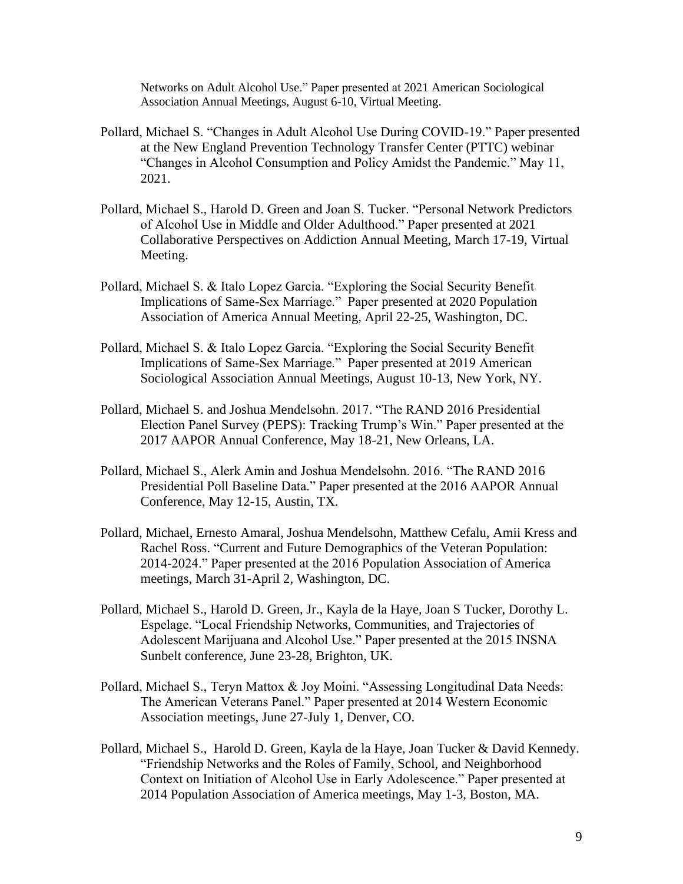Networks on Adult Alcohol Use." Paper presented at 2021 American Sociological Association Annual Meetings, August 6-10, Virtual Meeting.

- Pollard, Michael S. "Changes in Adult Alcohol Use During COVID-19." Paper presented at the New England Prevention Technology Transfer Center (PTTC) webinar "Changes in Alcohol Consumption and Policy Amidst the Pandemic." May 11, 2021.
- Pollard, Michael S., Harold D. Green and Joan S. Tucker. "Personal Network Predictors of Alcohol Use in Middle and Older Adulthood." Paper presented at 2021 Collaborative Perspectives on Addiction Annual Meeting, March 17-19, Virtual Meeting.
- Pollard, Michael S. & Italo Lopez Garcia. "Exploring the Social Security Benefit Implications of Same-Sex Marriage." Paper presented at 2020 Population Association of America Annual Meeting, April 22-25, Washington, DC.
- Pollard, Michael S. & Italo Lopez Garcia. "Exploring the Social Security Benefit Implications of Same-Sex Marriage." Paper presented at 2019 American Sociological Association Annual Meetings, August 10-13, New York, NY.
- Pollard, Michael S. and Joshua Mendelsohn. 2017. "The RAND 2016 Presidential Election Panel Survey (PEPS): Tracking Trump's Win." Paper presented at the 2017 AAPOR Annual Conference, May 18-21, New Orleans, LA.
- Pollard, Michael S., Alerk Amin and Joshua Mendelsohn. 2016. "The RAND 2016 Presidential Poll Baseline Data." Paper presented at the 2016 AAPOR Annual Conference, May 12-15, Austin, TX.
- Pollard, Michael, Ernesto Amaral, Joshua Mendelsohn, Matthew Cefalu, Amii Kress and Rachel Ross. "Current and Future Demographics of the Veteran Population: 2014-2024." Paper presented at the 2016 Population Association of America meetings, March 31-April 2, Washington, DC.
- Pollard, Michael S., Harold D. Green, Jr., Kayla de la Haye, Joan S Tucker, Dorothy L. Espelage. "Local Friendship Networks, Communities, and Trajectories of Adolescent Marijuana and Alcohol Use." Paper presented at the 2015 INSNA Sunbelt conference, June 23-28, Brighton, UK.
- Pollard, Michael S., Teryn Mattox & Joy Moini. "Assessing Longitudinal Data Needs: The American Veterans Panel." Paper presented at 2014 Western Economic Association meetings, June 27-July 1, Denver, CO.
- Pollard, Michael S., Harold D. Green, Kayla de la Haye, Joan Tucker & David Kennedy. "Friendship Networks and the Roles of Family, School, and Neighborhood Context on Initiation of Alcohol Use in Early Adolescence." Paper presented at 2014 Population Association of America meetings, May 1-3, Boston, MA.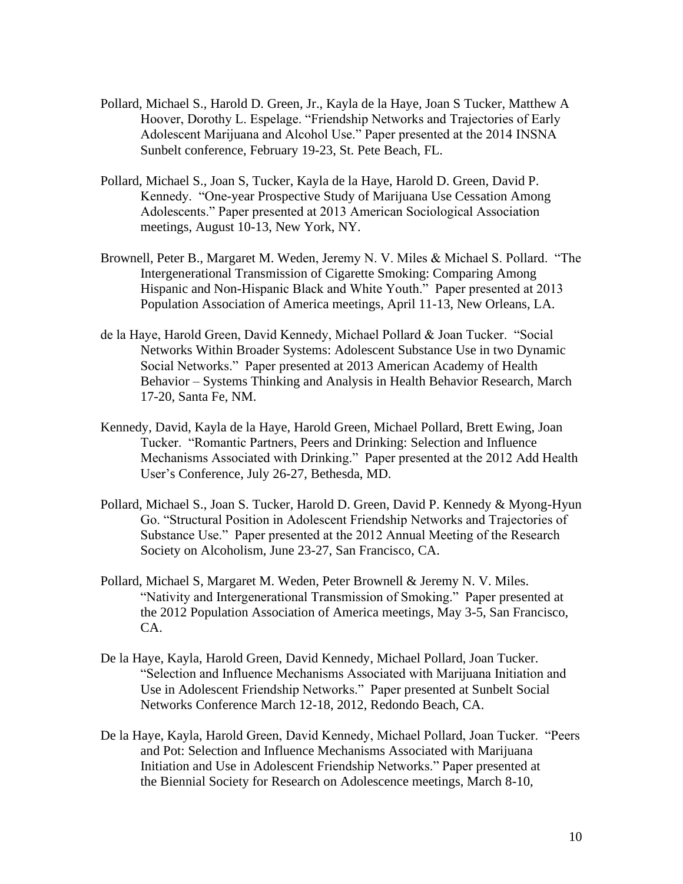- Pollard, Michael S., Harold D. Green, Jr., Kayla de la Haye, Joan S Tucker, Matthew A Hoover, Dorothy L. Espelage. "Friendship Networks and Trajectories of Early Adolescent Marijuana and Alcohol Use." Paper presented at the 2014 INSNA Sunbelt conference, February 19-23, St. Pete Beach, FL.
- Pollard, Michael S., Joan S, Tucker, Kayla de la Haye, Harold D. Green, David P. Kennedy. "One-year Prospective Study of Marijuana Use Cessation Among Adolescents." Paper presented at 2013 American Sociological Association meetings, August 10-13, New York, NY.
- Brownell, Peter B., Margaret M. Weden, Jeremy N. V. Miles & Michael S. Pollard. "The Intergenerational Transmission of Cigarette Smoking: Comparing Among Hispanic and Non-Hispanic Black and White Youth." Paper presented at 2013 Population Association of America meetings, April 11-13, New Orleans, LA.
- de la Haye, Harold Green, David Kennedy, Michael Pollard & Joan Tucker. "Social Networks Within Broader Systems: Adolescent Substance Use in two Dynamic Social Networks." Paper presented at 2013 American Academy of Health Behavior – Systems Thinking and Analysis in Health Behavior Research, March 17-20, Santa Fe, NM.
- Kennedy, David, Kayla de la Haye, Harold Green, Michael Pollard, Brett Ewing, Joan Tucker. "Romantic Partners, Peers and Drinking: Selection and Influence Mechanisms Associated with Drinking." Paper presented at the 2012 Add Health User's Conference, July 26-27, Bethesda, MD.
- Pollard, Michael S., Joan S. Tucker, Harold D. Green, David P. Kennedy & Myong-Hyun Go. "Structural Position in Adolescent Friendship Networks and Trajectories of Substance Use." Paper presented at the 2012 Annual Meeting of the Research Society on Alcoholism, June 23-27, San Francisco, CA.
- Pollard, Michael S, Margaret M. Weden, Peter Brownell & Jeremy N. V. Miles. "Nativity and Intergenerational Transmission of Smoking." Paper presented at the 2012 Population Association of America meetings, May 3-5, San Francisco, CA.
- De la Haye, Kayla, Harold Green, David Kennedy, Michael Pollard, Joan Tucker. "Selection and Influence Mechanisms Associated with Marijuana Initiation and Use in Adolescent Friendship Networks." Paper presented at Sunbelt Social Networks Conference March 12-18, 2012, Redondo Beach, CA.
- De la Haye, Kayla, Harold Green, David Kennedy, Michael Pollard, Joan Tucker. "Peers and Pot: Selection and Influence Mechanisms Associated with Marijuana Initiation and Use in Adolescent Friendship Networks." Paper presented at the Biennial Society for Research on Adolescence meetings, March 8-10,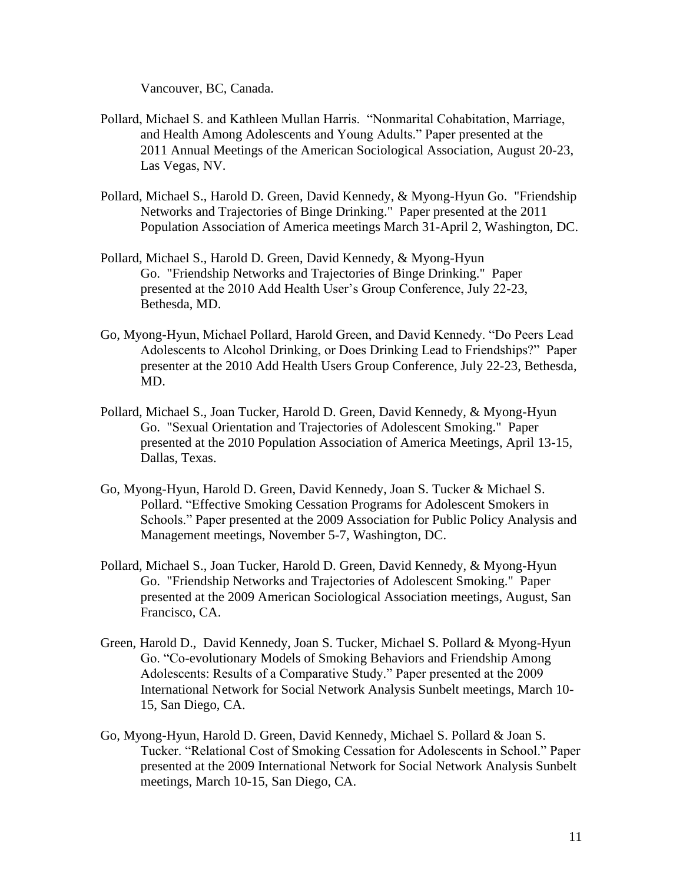Vancouver, BC, Canada.

- Pollard, Michael S. and Kathleen Mullan Harris. "Nonmarital Cohabitation, Marriage, and Health Among Adolescents and Young Adults." Paper presented at the 2011 Annual Meetings of the American Sociological Association, August 20-23, Las Vegas, NV.
- Pollard, Michael S., Harold D. Green, David Kennedy, & Myong-Hyun Go. "Friendship Networks and Trajectories of Binge Drinking." Paper presented at the 2011 Population Association of America meetings March 31-April 2, Washington, DC.
- Pollard, Michael S., Harold D. Green, David Kennedy, & Myong-Hyun Go. "Friendship Networks and Trajectories of Binge Drinking." Paper presented at the 2010 Add Health User's Group Conference, July 22-23, Bethesda, MD.
- Go, Myong-Hyun, Michael Pollard, Harold Green, and David Kennedy. "Do Peers Lead Adolescents to Alcohol Drinking, or Does Drinking Lead to Friendships?" Paper presenter at the 2010 Add Health Users Group Conference, July 22-23, Bethesda, MD.
- Pollard, Michael S., Joan Tucker, Harold D. Green, David Kennedy, & Myong-Hyun Go. "Sexual Orientation and Trajectories of Adolescent Smoking." Paper presented at the 2010 Population Association of America Meetings, April 13-15, Dallas, Texas.
- Go, Myong-Hyun, Harold D. Green, David Kennedy, Joan S. Tucker & Michael S. Pollard. "Effective Smoking Cessation Programs for Adolescent Smokers in Schools." Paper presented at the 2009 Association for Public Policy Analysis and Management meetings, November 5-7, Washington, DC.
- Pollard, Michael S., Joan Tucker, Harold D. Green, David Kennedy, & Myong-Hyun Go. "Friendship Networks and Trajectories of Adolescent Smoking." Paper presented at the 2009 American Sociological Association meetings, August, San Francisco, CA.
- Green, Harold D., David Kennedy, Joan S. Tucker, Michael S. Pollard & Myong-Hyun Go. "Co-evolutionary Models of Smoking Behaviors and Friendship Among Adolescents: Results of a Comparative Study." Paper presented at the 2009 International Network for Social Network Analysis Sunbelt meetings, March 10- 15, San Diego, CA.
- Go, Myong-Hyun, Harold D. Green, David Kennedy, Michael S. Pollard & Joan S. Tucker. "Relational Cost of Smoking Cessation for Adolescents in School." Paper presented at the 2009 International Network for Social Network Analysis Sunbelt meetings, March 10-15, San Diego, CA.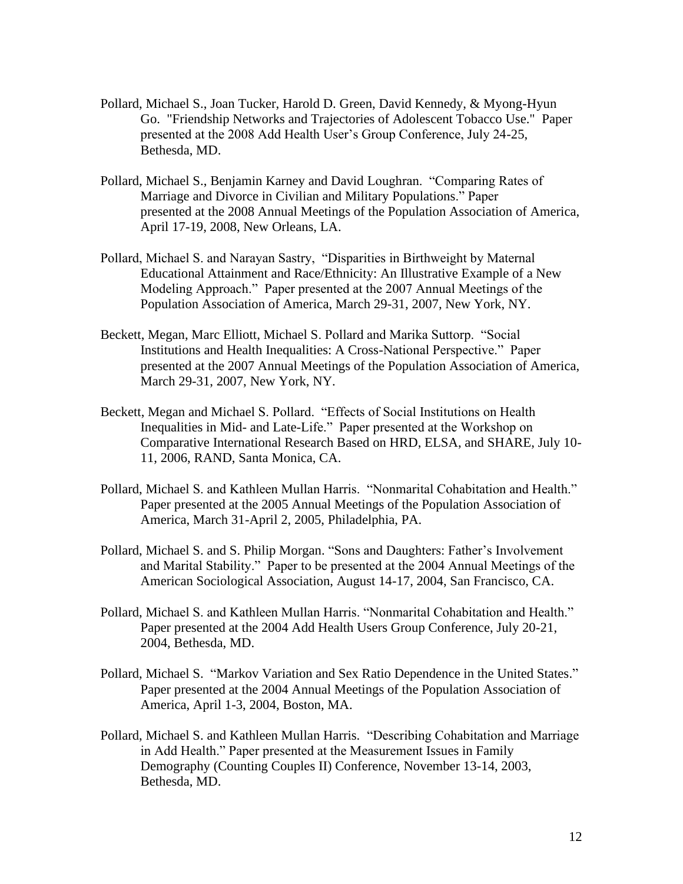- Pollard, Michael S., Joan Tucker, Harold D. Green, David Kennedy, & Myong-Hyun Go. "Friendship Networks and Trajectories of Adolescent Tobacco Use." Paper presented at the 2008 Add Health User's Group Conference, July 24-25, Bethesda, MD.
- Pollard, Michael S., Benjamin Karney and David Loughran. "Comparing Rates of Marriage and Divorce in Civilian and Military Populations." Paper presented at the 2008 Annual Meetings of the Population Association of America, April 17-19, 2008, New Orleans, LA.
- Pollard, Michael S. and Narayan Sastry, "Disparities in Birthweight by Maternal Educational Attainment and Race/Ethnicity: An Illustrative Example of a New Modeling Approach." Paper presented at the 2007 Annual Meetings of the Population Association of America, March 29-31, 2007, New York, NY.
- Beckett, Megan, Marc Elliott, Michael S. Pollard and Marika Suttorp. "Social Institutions and Health Inequalities: A Cross-National Perspective." Paper presented at the 2007 Annual Meetings of the Population Association of America, March 29-31, 2007, New York, NY.
- Beckett, Megan and Michael S. Pollard. "Effects of Social Institutions on Health Inequalities in Mid- and Late-Life." Paper presented at the Workshop on Comparative International Research Based on HRD, ELSA, and SHARE, July 10- 11, 2006, RAND, Santa Monica, CA.
- Pollard, Michael S. and Kathleen Mullan Harris. "Nonmarital Cohabitation and Health." Paper presented at the 2005 Annual Meetings of the Population Association of America, March 31-April 2, 2005, Philadelphia, PA.
- Pollard, Michael S. and S. Philip Morgan. "Sons and Daughters: Father's Involvement and Marital Stability." Paper to be presented at the 2004 Annual Meetings of the American Sociological Association, August 14-17, 2004, San Francisco, CA.
- Pollard, Michael S. and Kathleen Mullan Harris. "Nonmarital Cohabitation and Health." Paper presented at the 2004 Add Health Users Group Conference, July 20-21, 2004, Bethesda, MD.
- Pollard, Michael S. "Markov Variation and Sex Ratio Dependence in the United States." Paper presented at the 2004 Annual Meetings of the Population Association of America, April 1-3, 2004, Boston, MA.
- Pollard, Michael S. and Kathleen Mullan Harris. "Describing Cohabitation and Marriage in Add Health." Paper presented at the Measurement Issues in Family Demography (Counting Couples II) Conference, November 13-14, 2003, Bethesda, MD.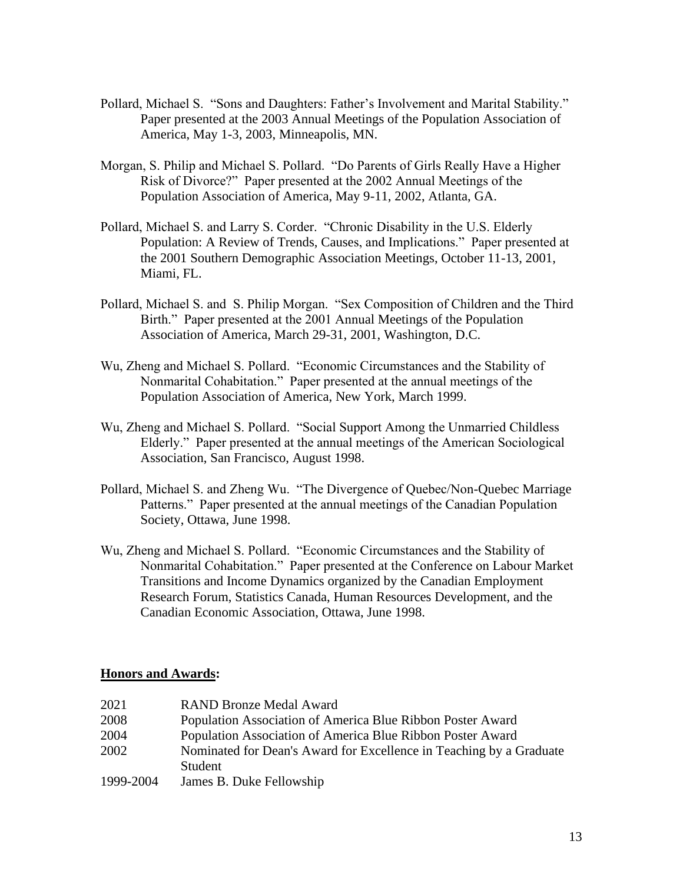- Pollard, Michael S. "Sons and Daughters: Father's Involvement and Marital Stability." Paper presented at the 2003 Annual Meetings of the Population Association of America, May 1-3, 2003, Minneapolis, MN.
- Morgan, S. Philip and Michael S. Pollard. "Do Parents of Girls Really Have a Higher Risk of Divorce?" Paper presented at the 2002 Annual Meetings of the Population Association of America, May 9-11, 2002, Atlanta, GA.
- Pollard, Michael S. and Larry S. Corder. "Chronic Disability in the U.S. Elderly Population: A Review of Trends, Causes, and Implications." Paper presented at the 2001 Southern Demographic Association Meetings, October 11-13, 2001, Miami, FL.
- Pollard, Michael S. and S. Philip Morgan. "Sex Composition of Children and the Third Birth." Paper presented at the 2001 Annual Meetings of the Population Association of America, March 29-31, 2001, Washington, D.C.
- Wu, Zheng and Michael S. Pollard. "Economic Circumstances and the Stability of Nonmarital Cohabitation." Paper presented at the annual meetings of the Population Association of America, New York, March 1999.
- Wu, Zheng and Michael S. Pollard. "Social Support Among the Unmarried Childless Elderly." Paper presented at the annual meetings of the American Sociological Association, San Francisco, August 1998.
- Pollard, Michael S. and Zheng Wu. "The Divergence of Quebec/Non-Quebec Marriage Patterns." Paper presented at the annual meetings of the Canadian Population Society, Ottawa, June 1998.
- Wu, Zheng and Michael S. Pollard. "Economic Circumstances and the Stability of Nonmarital Cohabitation." Paper presented at the Conference on Labour Market Transitions and Income Dynamics organized by the Canadian Employment Research Forum, Statistics Canada, Human Resources Development, and the Canadian Economic Association, Ottawa, June 1998.

# **Honors and Awards:**

| 2021      | <b>RAND Bronze Medal Award</b>                                      |
|-----------|---------------------------------------------------------------------|
| 2008      | Population Association of America Blue Ribbon Poster Award          |
| 2004      | Population Association of America Blue Ribbon Poster Award          |
| 2002      | Nominated for Dean's Award for Excellence in Teaching by a Graduate |
|           | Student                                                             |
| 1999-2004 | James B. Duke Fellowship                                            |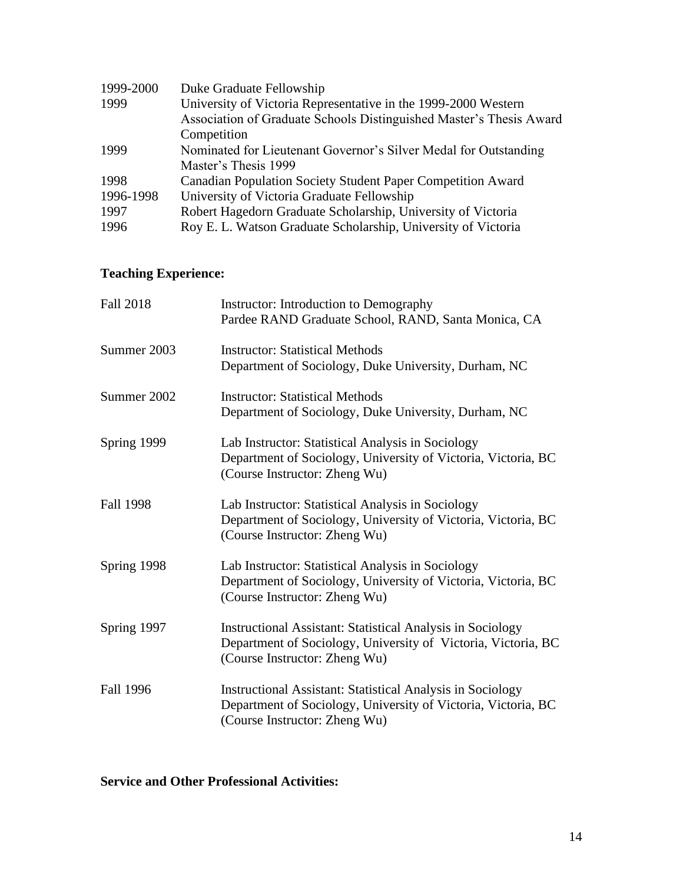| 1999-2000 | Duke Graduate Fellowship                                            |
|-----------|---------------------------------------------------------------------|
| 1999      | University of Victoria Representative in the 1999-2000 Western      |
|           | Association of Graduate Schools Distinguished Master's Thesis Award |
|           | Competition                                                         |
| 1999      | Nominated for Lieutenant Governor's Silver Medal for Outstanding    |
|           | Master's Thesis 1999                                                |
| 1998      | Canadian Population Society Student Paper Competition Award         |
| 1996-1998 | University of Victoria Graduate Fellowship                          |
| 1997      | Robert Hagedorn Graduate Scholarship, University of Victoria        |
| 1996      | Roy E. L. Watson Graduate Scholarship, University of Victoria       |

# **Teaching Experience:**

| <b>Fall 2018</b> | Instructor: Introduction to Demography<br>Pardee RAND Graduate School, RAND, Santa Monica, CA                                                                       |
|------------------|---------------------------------------------------------------------------------------------------------------------------------------------------------------------|
| Summer 2003      | <b>Instructor: Statistical Methods</b><br>Department of Sociology, Duke University, Durham, NC                                                                      |
| Summer 2002      | <b>Instructor: Statistical Methods</b><br>Department of Sociology, Duke University, Durham, NC                                                                      |
| Spring 1999      | Lab Instructor: Statistical Analysis in Sociology<br>Department of Sociology, University of Victoria, Victoria, BC<br>(Course Instructor: Zheng Wu)                 |
| <b>Fall 1998</b> | Lab Instructor: Statistical Analysis in Sociology<br>Department of Sociology, University of Victoria, Victoria, BC<br>(Course Instructor: Zheng Wu)                 |
| Spring 1998      | Lab Instructor: Statistical Analysis in Sociology<br>Department of Sociology, University of Victoria, Victoria, BC<br>(Course Instructor: Zheng Wu)                 |
| Spring 1997      | <b>Instructional Assistant: Statistical Analysis in Sociology</b><br>Department of Sociology, University of Victoria, Victoria, BC<br>(Course Instructor: Zheng Wu) |
| Fall 1996        | <b>Instructional Assistant: Statistical Analysis in Sociology</b><br>Department of Sociology, University of Victoria, Victoria, BC<br>(Course Instructor: Zheng Wu) |

**Service and Other Professional Activities:**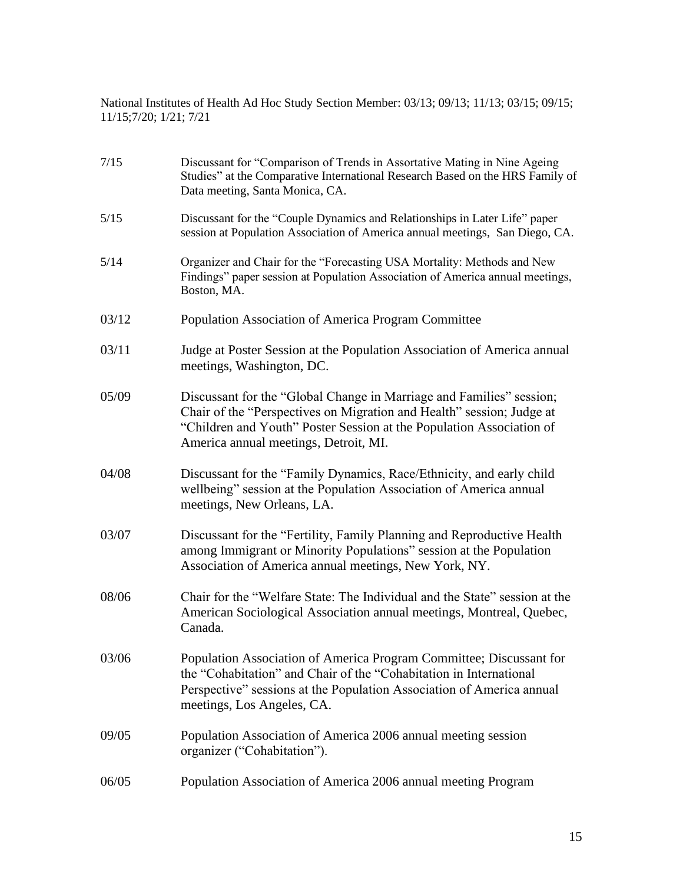National Institutes of Health Ad Hoc Study Section Member: 03/13; 09/13; 11/13; 03/15; 09/15; 11/15;7/20; 1/21; 7/21

| Studies" at the Comparative International Research Based on the HRS Family of<br>Data meeting, Santa Monica, CA.                                                                                                                                               |
|----------------------------------------------------------------------------------------------------------------------------------------------------------------------------------------------------------------------------------------------------------------|
| Discussant for the "Couple Dynamics and Relationships in Later Life" paper<br>session at Population Association of America annual meetings, San Diego, CA.                                                                                                     |
| Organizer and Chair for the "Forecasting USA Mortality: Methods and New<br>Findings" paper session at Population Association of America annual meetings,<br>Boston, MA.                                                                                        |
| Population Association of America Program Committee                                                                                                                                                                                                            |
| Judge at Poster Session at the Population Association of America annual<br>meetings, Washington, DC.                                                                                                                                                           |
| Discussant for the "Global Change in Marriage and Families" session;<br>Chair of the "Perspectives on Migration and Health" session; Judge at<br>"Children and Youth" Poster Session at the Population Association of<br>America annual meetings, Detroit, MI. |
| Discussant for the "Family Dynamics, Race/Ethnicity, and early child<br>wellbeing" session at the Population Association of America annual<br>meetings, New Orleans, LA.                                                                                       |
| Discussant for the "Fertility, Family Planning and Reproductive Health<br>among Immigrant or Minority Populations" session at the Population<br>Association of America annual meetings, New York, NY.                                                          |
| Chair for the "Welfare State: The Individual and the State" session at the<br>American Sociological Association annual meetings, Montreal, Quebec,<br>Canada.                                                                                                  |
| Population Association of America Program Committee; Discussant for<br>the "Cohabitation" and Chair of the "Cohabitation in International<br>Perspective" sessions at the Population Association of America annual<br>meetings, Los Angeles, CA.               |
| Population Association of America 2006 annual meeting session<br>organizer ("Cohabitation").                                                                                                                                                                   |
| Population Association of America 2006 annual meeting Program                                                                                                                                                                                                  |
|                                                                                                                                                                                                                                                                |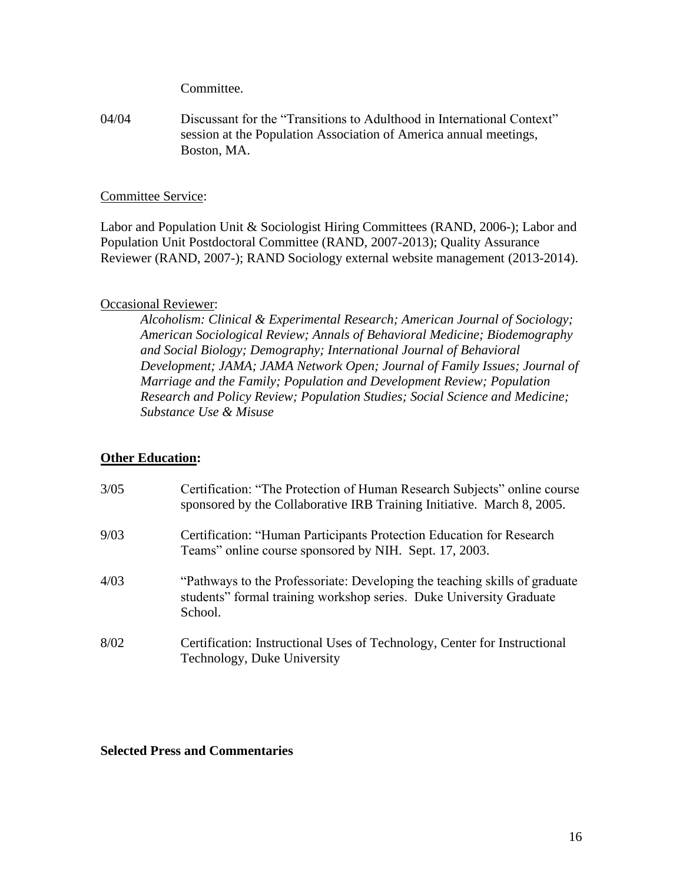Committee.

04/04 Discussant for the "Transitions to Adulthood in International Context" session at the Population Association of America annual meetings, Boston, MA.

## Committee Service:

Labor and Population Unit & Sociologist Hiring Committees (RAND, 2006-); Labor and Population Unit Postdoctoral Committee (RAND, 2007-2013); Quality Assurance Reviewer (RAND, 2007-); RAND Sociology external website management (2013-2014).

# Occasional Reviewer:

*Alcoholism: Clinical & Experimental Research; American Journal of Sociology; American Sociological Review; Annals of Behavioral Medicine; Biodemography and Social Biology; Demography; International Journal of Behavioral Development; JAMA; JAMA Network Open; Journal of Family Issues; Journal of Marriage and the Family; Population and Development Review; Population Research and Policy Review; Population Studies; Social Science and Medicine; Substance Use & Misuse*

# **Other Education:**

| 3/05 | Certification: "The Protection of Human Research Subjects" online course<br>sponsored by the Collaborative IRB Training Initiative. March 8, 2005.           |
|------|--------------------------------------------------------------------------------------------------------------------------------------------------------------|
| 9/03 | Certification: "Human Participants Protection Education for Research<br>Teams" online course sponsored by NIH. Sept. 17, 2003.                               |
| 4/03 | "Pathways to the Professoriate: Developing the teaching skills of graduate<br>students" formal training workshop series. Duke University Graduate<br>School. |
| 8/02 | Certification: Instructional Uses of Technology, Center for Instructional<br>Technology, Duke University                                                     |

#### **Selected Press and Commentaries**